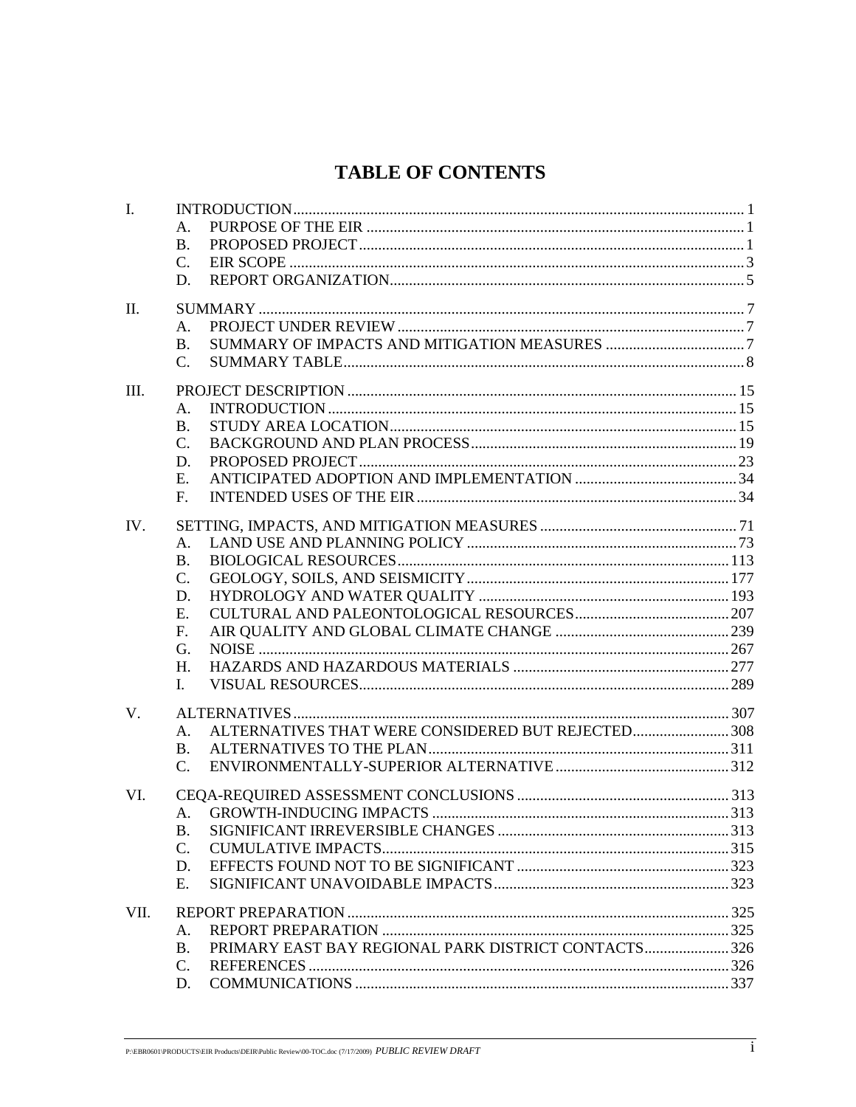## **TABLE OF CONTENTS**

| I.   | Α.<br><b>B.</b><br>C.<br>D.                                                                  |  |
|------|----------------------------------------------------------------------------------------------|--|
| Π.   | Α.<br><b>B.</b><br>$C_{\cdot}$                                                               |  |
| Ш.   | Α.<br><b>B.</b><br>C.<br>D.<br>Е.<br>F <sub>r</sub>                                          |  |
| IV.  | Α.<br><b>B.</b><br>C.<br>D.<br>E.<br>F.<br>G.<br>H.<br>I.                                    |  |
| V.   | ALTERNATIVES THAT WERE CONSIDERED BUT REJECTED308<br>A.<br><b>B.</b><br>$\mathcal{C}$ .      |  |
| VI.  | B.<br>C.<br>D.<br>Е.                                                                         |  |
| VII. | Α.<br>PRIMARY EAST BAY REGIONAL PARK DISTRICT CONTACTS 326<br><b>B.</b><br>$C_{\cdot}$<br>D. |  |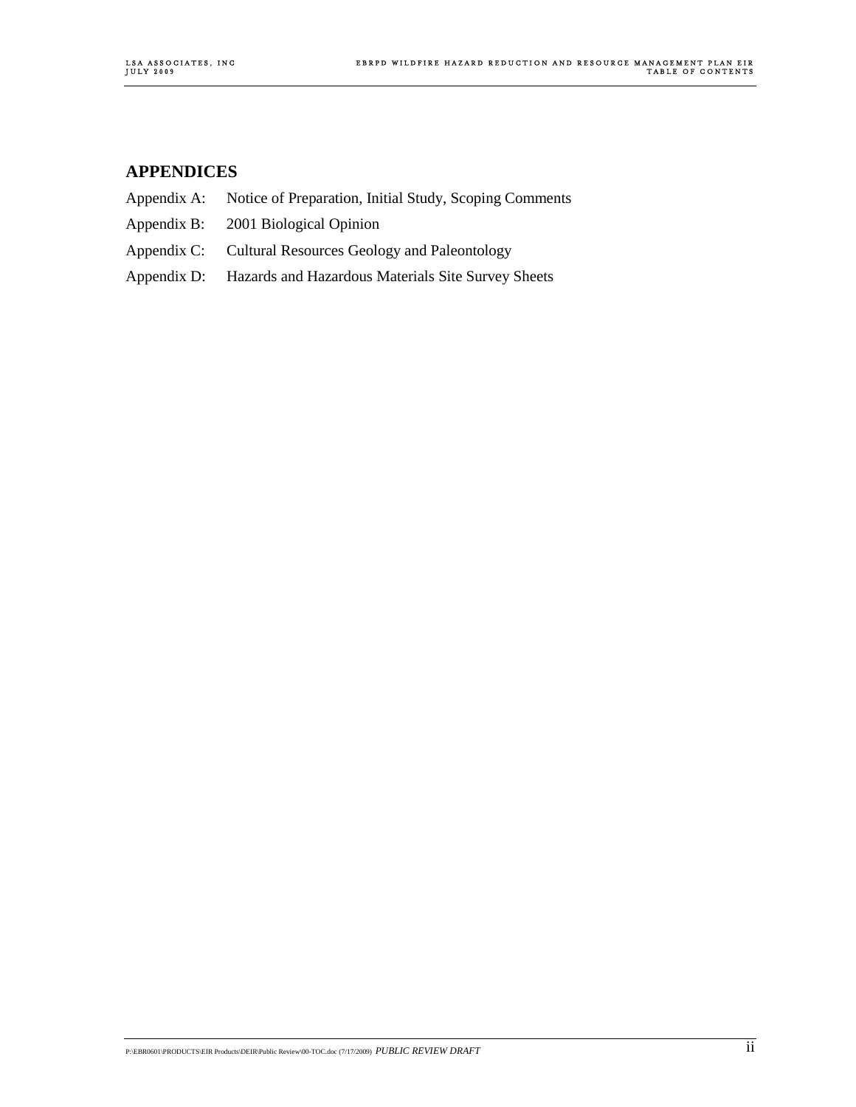## **APPENDICES**

- Appendix A: Notice of Preparation, Initial Study, Scoping Comments
- Appendix B: 2001 Biological Opinion
- Appendix C: Cultural Resources Geology and Paleontology
- Appendix D: Hazards and Hazardous Materials Site Survey Sheets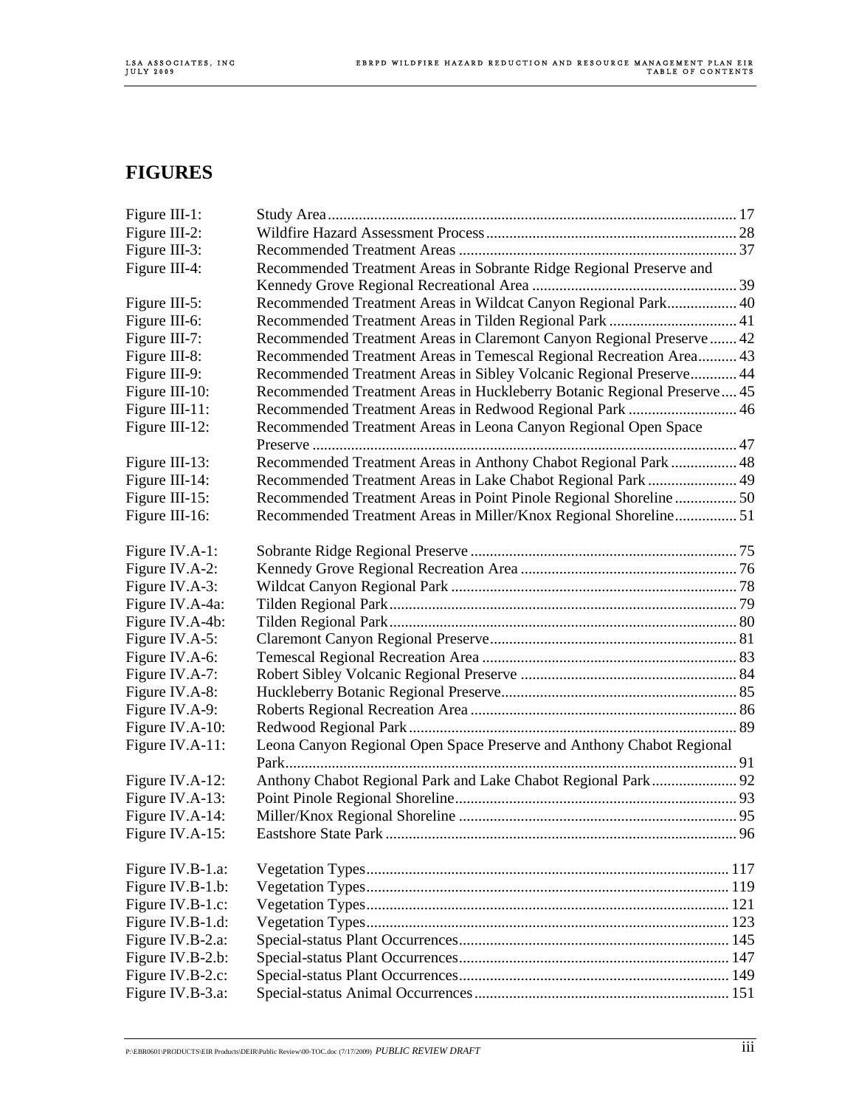## **FIGURES**

| Figure III-1:    |                                                                         |  |
|------------------|-------------------------------------------------------------------------|--|
| Figure III-2:    |                                                                         |  |
| Figure III-3:    |                                                                         |  |
| Figure III-4:    | Recommended Treatment Areas in Sobrante Ridge Regional Preserve and     |  |
|                  |                                                                         |  |
| Figure III-5:    | Recommended Treatment Areas in Wildcat Canyon Regional Park 40          |  |
| Figure III-6:    | Recommended Treatment Areas in Tilden Regional Park  41                 |  |
| Figure III-7:    | Recommended Treatment Areas in Claremont Canyon Regional Preserve 42    |  |
| Figure III-8:    | Recommended Treatment Areas in Temescal Regional Recreation Area 43     |  |
| Figure III-9:    | Recommended Treatment Areas in Sibley Volcanic Regional Preserve 44     |  |
| Figure III-10:   | Recommended Treatment Areas in Huckleberry Botanic Regional Preserve 45 |  |
| Figure III-11:   | Recommended Treatment Areas in Redwood Regional Park  46                |  |
| Figure III-12:   | Recommended Treatment Areas in Leona Canyon Regional Open Space         |  |
|                  |                                                                         |  |
| Figure III-13:   | Recommended Treatment Areas in Anthony Chabot Regional Park  48         |  |
| Figure III-14:   | Recommended Treatment Areas in Lake Chabot Regional Park  49            |  |
| Figure III-15:   | Recommended Treatment Areas in Point Pinole Regional Shoreline 50       |  |
| Figure III-16:   | Recommended Treatment Areas in Miller/Knox Regional Shoreline 51        |  |
| Figure IV.A-1:   |                                                                         |  |
| Figure IV.A-2:   |                                                                         |  |
| Figure IV.A-3:   |                                                                         |  |
| Figure IV.A-4a:  |                                                                         |  |
| Figure IV.A-4b:  |                                                                         |  |
| Figure IV.A-5:   |                                                                         |  |
| Figure IV.A-6:   |                                                                         |  |
| Figure IV.A-7:   |                                                                         |  |
| Figure IV.A-8:   |                                                                         |  |
| Figure IV.A-9:   |                                                                         |  |
| Figure IV.A-10:  |                                                                         |  |
| Figure IV.A-11:  | Leona Canyon Regional Open Space Preserve and Anthony Chabot Regional   |  |
| Figure IV.A-12:  | Anthony Chabot Regional Park and Lake Chabot Regional Park  92          |  |
| Figure IV.A-13:  |                                                                         |  |
| Figure IV.A-14:  |                                                                         |  |
| Figure IV.A-15:  |                                                                         |  |
| Figure IV.B-1.a: |                                                                         |  |
| Figure IV.B-1.b: |                                                                         |  |
| Figure IV.B-1.c: |                                                                         |  |
| Figure IV.B-1.d: |                                                                         |  |
| Figure IV.B-2.a: |                                                                         |  |
| Figure IV.B-2.b: |                                                                         |  |
| Figure IV.B-2.c: |                                                                         |  |
| Figure IV.B-3.a: |                                                                         |  |
|                  |                                                                         |  |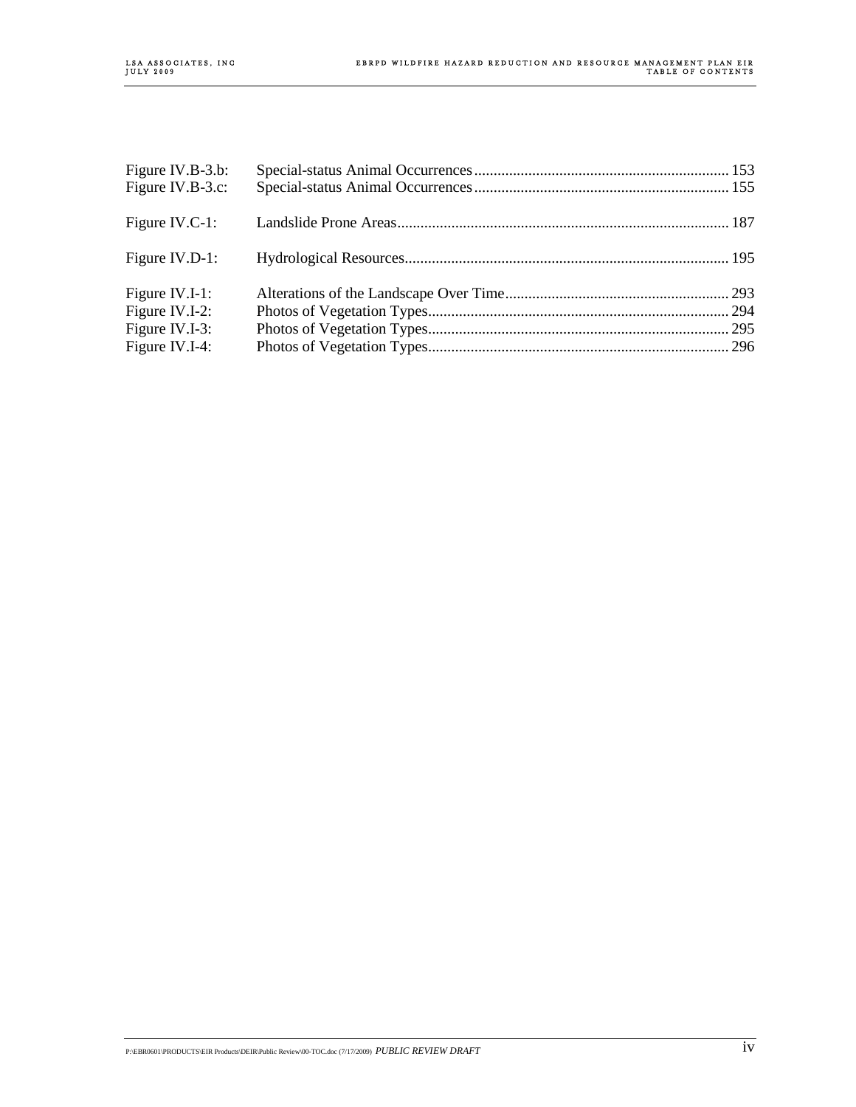| Figure IV.B-3.b: |  |
|------------------|--|
| Figure IV.B-3.c: |  |
| Figure IV.C-1:   |  |
| Figure IV.D-1:   |  |
| Figure IV.I-1:   |  |
| Figure IV.I-2:   |  |
| Figure IV.I-3:   |  |
| Figure IV.I-4:   |  |